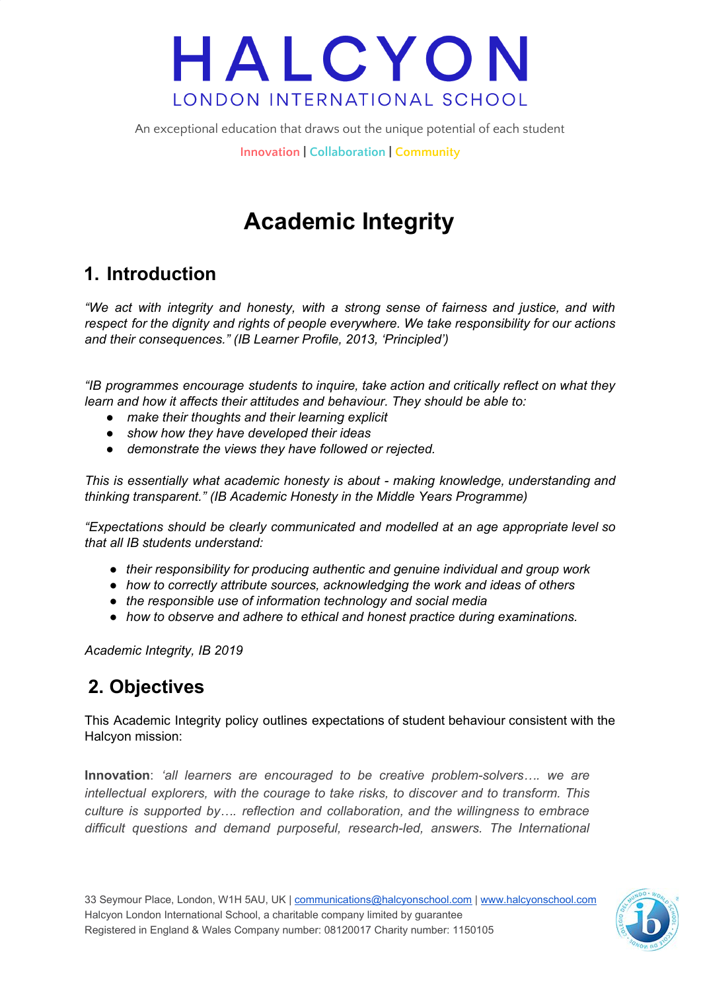An exceptional education that draws out the unique potential of each student

**Innovation | Collaboration | Community**

## **Academic Integrity**

### **1. Introduction**

*"We act with integrity and honesty, with a strong sense of fairness and justice, and with respect for the dignity and rights of people everywhere. We take responsibility for our actions and their consequences." (IB Learner Profile, 2013, 'Principled')*

*"IB programmes encourage students to inquire, take action and critically reflect on what they learn and how it affects their attitudes and behaviour. They should be able to:*

- *● make their thoughts and their learning explicit*
- *● show how they have developed their ideas*
- *● demonstrate the views they have followed or rejected.*

*This is essentially what academic honesty is about - making knowledge, understanding and thinking transparent." (IB Academic Honesty in the Middle Years Programme)*

*"Expectations should be clearly communicated and modelled at an age appropriate level so that all IB students understand:*

- *● their responsibility for producing authentic and genuine individual and group work*
- *● how to correctly attribute sources, acknowledging the work and ideas of others*
- *● the responsible use of information technology and social media*
- *● how to observe and adhere to ethical and honest practice during examinations.*

*Academic Integrity, IB 2019*

## **2. Objectives**

This Academic Integrity policy outlines expectations of student behaviour consistent with the Halcyon mission:

**Innovation**: *'all learners are encouraged to be creative problem-solvers…. we are intellectual explorers, with the courage to take risks, to discover and to transform. This culture is supported by…. reflection and collaboration, and the willingness to embrace difficult questions and demand purposeful, research-led, answers. The International*

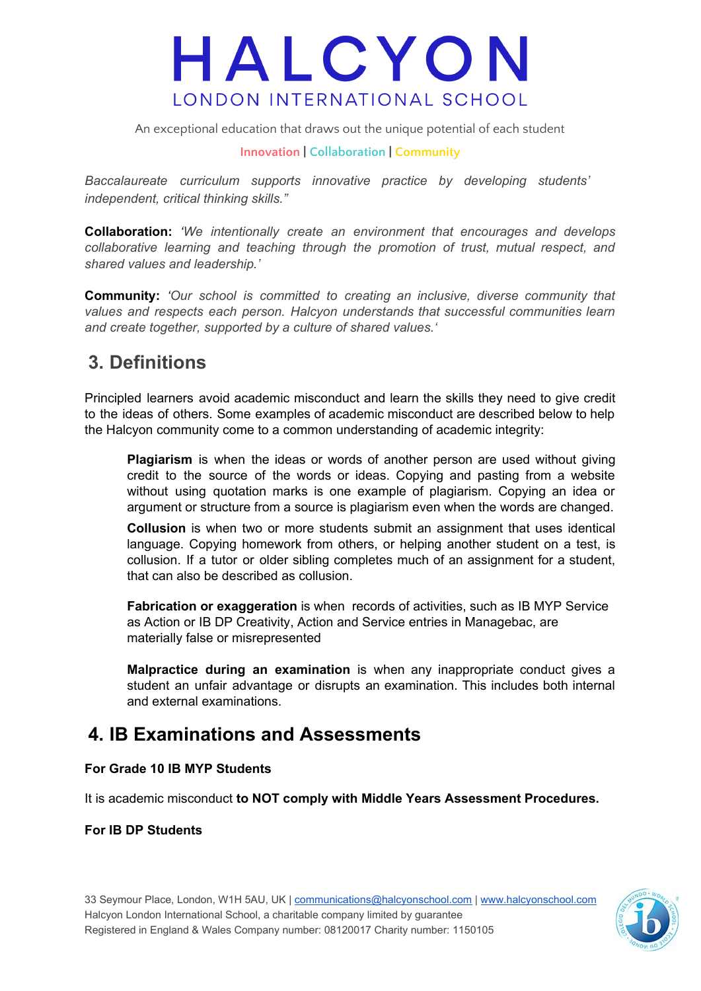An exceptional education that draws out the unique potential of each student

#### **Innovation | Collaboration | Community**

*Baccalaureate curriculum supports innovative practice by developing students' independent, critical thinking skills."*

**Collaboration:** *'We intentionally create an environment that encourages and develops collaborative learning and teaching through the promotion of trust, mutual respect, and shared values and leadership.'*

**Community:** *'Our school is committed to creating an inclusive, diverse community that values and respects each person. Halcyon understands that successful communities learn and create together, supported by a culture of shared values.'*

### **3. Definitions**

Principled learners avoid academic misconduct and learn the skills they need to give credit to the ideas of others. Some examples of academic misconduct are described below to help the Halcyon community come to a common understanding of academic integrity:

**Plagiarism** is when the ideas or words of another person are used without giving credit to the source of the words or ideas. Copying and pasting from a website without using quotation marks is one example of plagiarism. Copying an idea or argument or structure from a source is plagiarism even when the words are changed.

**Collusion** is when two or more students submit an assignment that uses identical language. Copying homework from others, or helping another student on a test, is collusion. If a tutor or older sibling completes much of an assignment for a student, that can also be described as collusion.

**Fabrication or exaggeration** is when records of activities, such as IB MYP Service as Action or IB DP Creativity, Action and Service entries in Managebac, are materially false or misrepresented

**Malpractice during an examination** is when any inappropriate conduct gives a student an unfair advantage or disrupts an examination. This includes both internal and external examinations.

### **4. IB Examinations and Assessments**

#### **For Grade 10 IB MYP Students**

It is academic misconduct **to NOT comply with Middle Years Assessment Procedures.**

#### **For IB DP Students**

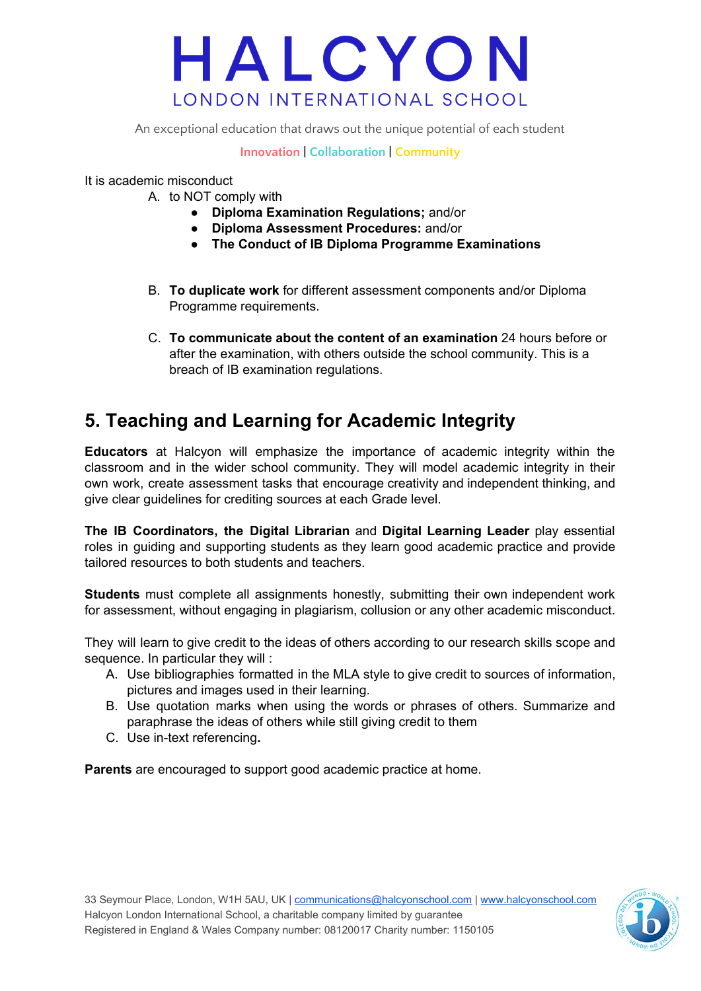An exceptional education that draws out the unique potential of each student

#### **Innovation | Collaboration | Community**

It is academic misconduct

- A. to NOT comply with
	- **Diploma Examination Regulations;** and/or
	- **● Diploma Assessment Procedures:** and/or
	- **The Conduct of IB Diploma Programme Examinations**
- B. **To duplicate work** for different assessment components and/or Diploma Programme requirements.
- C. **To communicate about the content of an examination** 24 hours before or after the examination, with others outside the school community. This is a breach of IB examination regulations.

### **5. Teaching and Learning for Academic Integrity**

**Educators** at Halcyon will emphasize the importance of academic integrity within the classroom and in the wider school community. They will model academic integrity in their own work, create assessment tasks that encourage creativity and independent thinking, and give clear guidelines for crediting sources at each Grade level.

**The IB Coordinators, the Digital Librarian** and **Digital Learning Leader** play essential roles in guiding and supporting students as they learn good academic practice and provide tailored resources to both students and teachers.

**Students** must complete all assignments honestly, submitting their own independent work for assessment, without engaging in plagiarism, collusion or any other academic misconduct.

They will learn to give credit to the ideas of others according to our research skills scope and sequence. In particular they will :

- A. Use bibliographies formatted in the MLA style to give credit to sources of information, pictures and images used in their learning.
- B. Use quotation marks when using the words or phrases of others. Summarize and paraphrase the ideas of others while still giving credit to them
- C. Use in-text referencing**.**

**Parents** are encouraged to support good academic practice at home.

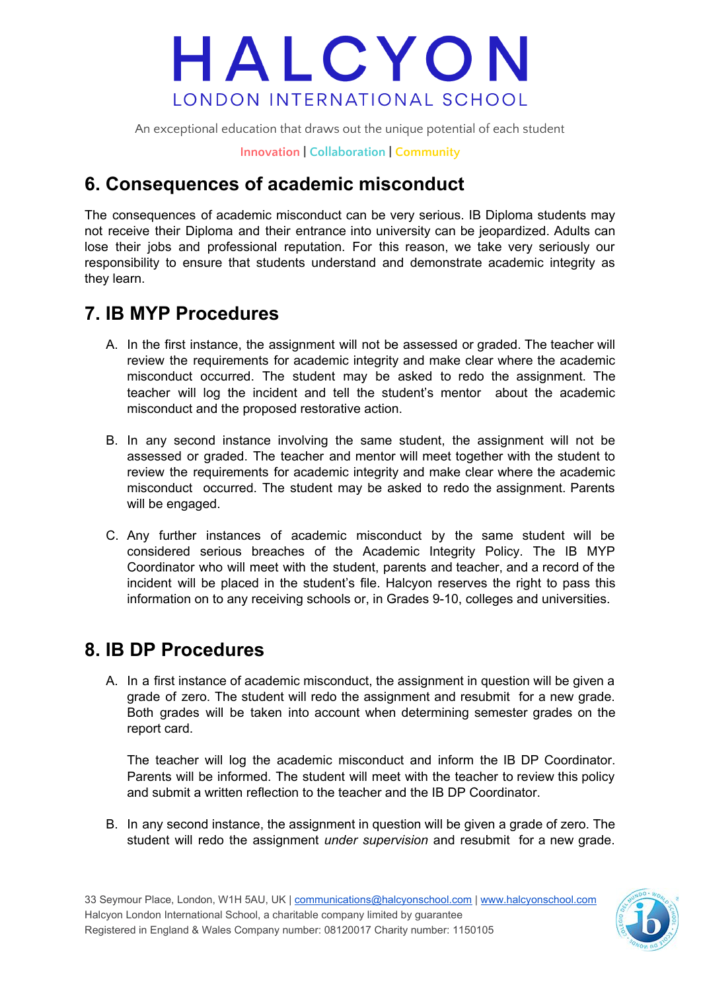An exceptional education that draws out the unique potential of each student

**Innovation | Collaboration | Community**

### **6. Consequences of academic misconduct**

The consequences of academic misconduct can be very serious. IB Diploma students may not receive their Diploma and their entrance into university can be jeopardized. Adults can lose their jobs and professional reputation. For this reason, we take very seriously our responsibility to ensure that students understand and demonstrate academic integrity as they learn.

### **7. IB MYP Procedures**

- A. In the first instance, the assignment will not be assessed or graded. The teacher will review the requirements for academic integrity and make clear where the academic misconduct occurred. The student may be asked to redo the assignment. The teacher will log the incident and tell the student's mentor about the academic misconduct and the proposed restorative action.
- B. In any second instance involving the same student, the assignment will not be assessed or graded. The teacher and mentor will meet together with the student to review the requirements for academic integrity and make clear where the academic misconduct occurred. The student may be asked to redo the assignment. Parents will be engaged.
- C. Any further instances of academic misconduct by the same student will be considered serious breaches of the Academic Integrity Policy. The IB MYP Coordinator who will meet with the student, parents and teacher, and a record of the incident will be placed in the student's file. Halcyon reserves the right to pass this information on to any receiving schools or, in Grades 9-10, colleges and universities.

### **8. IB DP Procedures**

A. In a first instance of academic misconduct, the assignment in question will be given a grade of zero. The student will redo the assignment and resubmit for a new grade. Both grades will be taken into account when determining semester grades on the report card.

The teacher will log the academic misconduct and inform the IB DP Coordinator. Parents will be informed. The student will meet with the teacher to review this policy and submit a written reflection to the teacher and the IB DP Coordinator.

B. In any second instance, the assignment in question will be given a grade of zero. The student will redo the assignment *under supervision* and resubmit for a new grade.